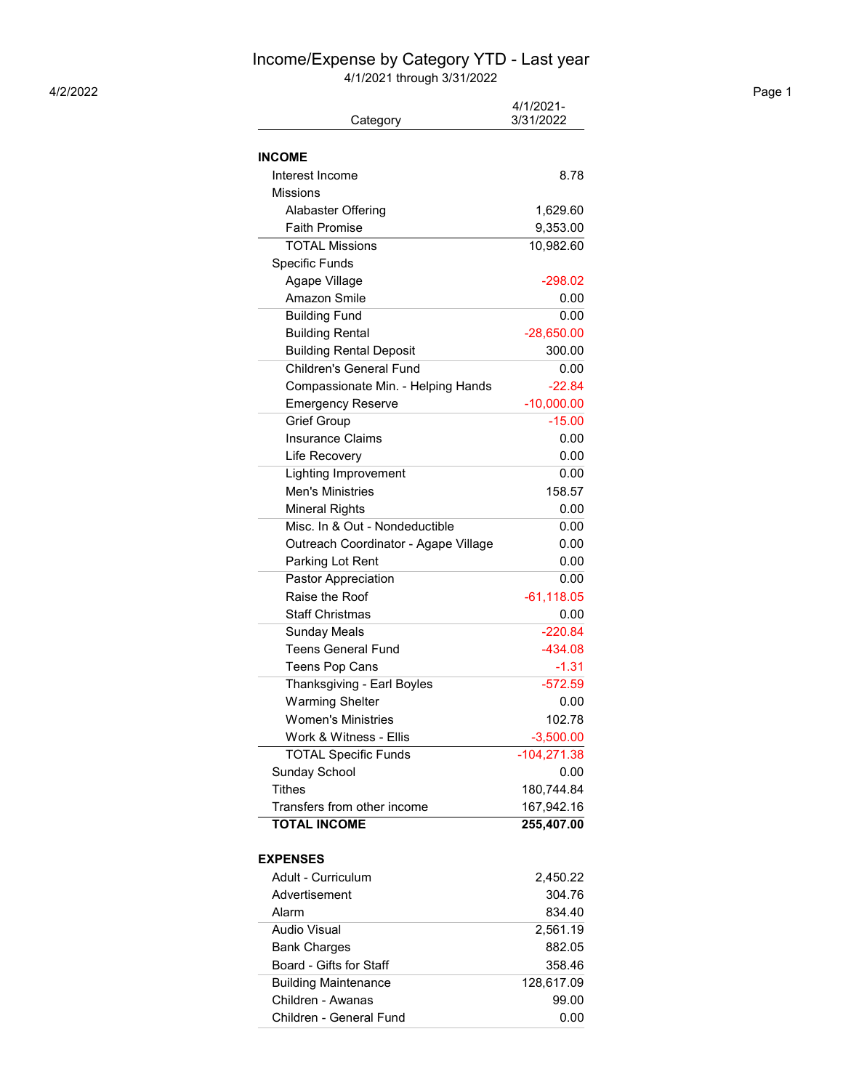## Income/Expense by Category YTD - Last year

4/1/2021 through 3/31/2022 4/2/2022 Page 1

| Category                             | 4/1/2021-<br>3/31/2022 |
|--------------------------------------|------------------------|
|                                      |                        |
|                                      |                        |
| INCOME                               |                        |
| Interest Income                      | 8.78                   |
| <b>Missions</b>                      |                        |
| Alabaster Offering                   | 1,629.60               |
| <b>Faith Promise</b>                 | 9,353.00               |
| <b>TOTAL Missions</b>                | 10,982.60              |
| Specific Funds                       |                        |
| Agape Village                        | $-298.02$              |
| Amazon Smile                         | 0.00                   |
| <b>Building Fund</b>                 | 0.00                   |
| <b>Building Rental</b>               | $-28,650.00$           |
| <b>Building Rental Deposit</b>       | 300.00                 |
| <b>Children's General Fund</b>       | 0.00                   |
| Compassionate Min. - Helping Hands   | $-22.84$               |
| <b>Emergency Reserve</b>             | $-10,000.00$           |
| <b>Grief Group</b>                   | $-15.00$               |
| <b>Insurance Claims</b>              | 0.00                   |
| Life Recovery                        | 0.00                   |
| <b>Lighting Improvement</b>          | 0.00                   |
| Men's Ministries                     | 158.57                 |
| <b>Mineral Rights</b>                | 0.00                   |
| Misc. In & Out - Nondeductible       | 0.00                   |
| Outreach Coordinator - Agape Village | 0.00                   |
| Parking Lot Rent                     | 0.00                   |
| Pastor Appreciation                  | 0.00                   |
| Raise the Roof                       | $-61,118.05$           |
| <b>Staff Christmas</b>               | 0.00                   |
| <b>Sunday Meals</b>                  | $-220.84$              |
| <b>Teens General Fund</b>            | $-434.08$              |
| <b>Teens Pop Cans</b>                | $-1.31$                |
| Thanksgiving - Earl Boyles           | $-572.59$              |
| <b>Warming Shelter</b>               | 0.00                   |
| <b>Women's Ministries</b>            | 102.78                 |
| Work & Witness - Ellis               | $-3,500.00$            |
| <b>TOTAL Specific Funds</b>          | $-104,271.38$          |
| Sunday School                        | 0.00                   |
| <b>Tithes</b>                        | 180,744.84             |
| Transfers from other income          | 167,942.16             |
| <b>TOTAL INCOME</b>                  | 255,407.00             |
|                                      |                        |
| <b>EXPENSES</b>                      |                        |
| Adult - Curriculum                   | 2,450.22               |
| Advertisement                        | 304.76                 |
| Alarm                                | 834.40                 |
| Audio Visual                         | 2,561.19               |
| <b>Bank Charges</b>                  | 882.05                 |
| Board - Gifts for Staff              | 358.46                 |
| <b>Building Maintenance</b>          | 128,617.09             |
| Children - Awanas                    | 99.00                  |
| Children - General Fund              | 0.00                   |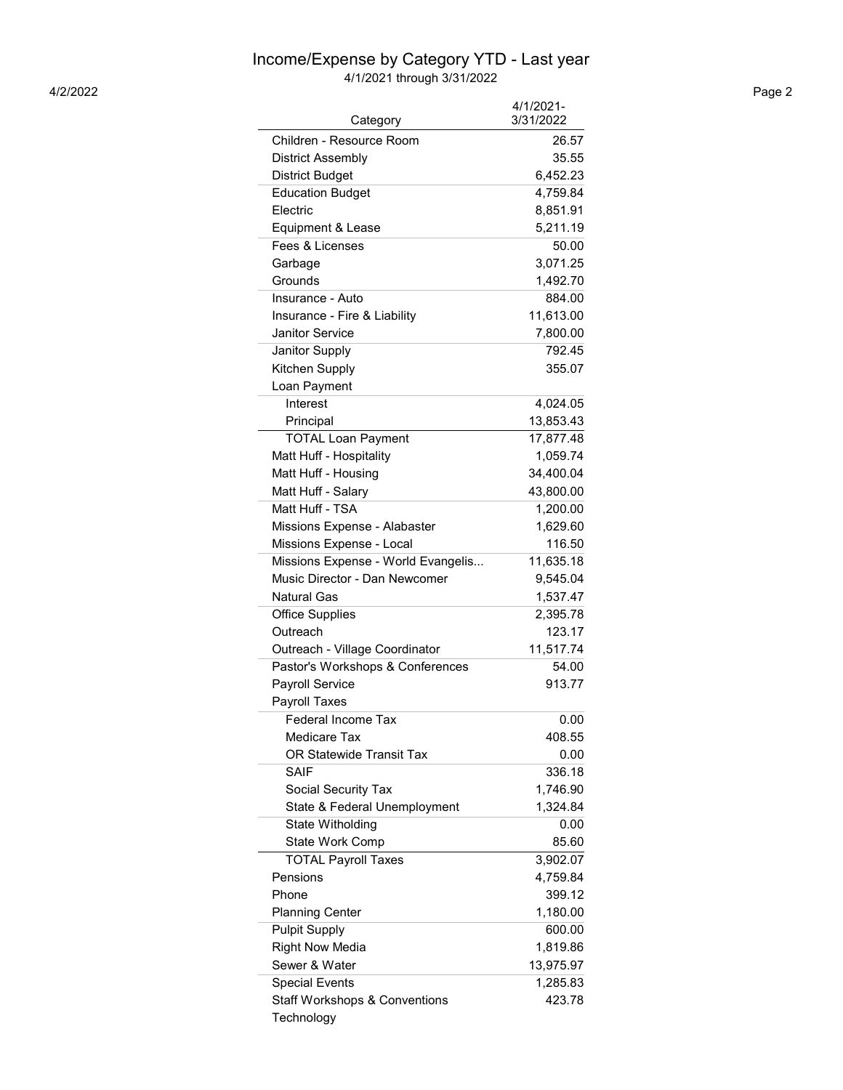## Income/Expense by Category YTD - Last year

4/1/2021 through 3/31/2022 4/2/2022 Page 2

| Category                                 | 4/1/2021-<br>3/31/2022 |
|------------------------------------------|------------------------|
| Children - Resource Room                 | 26.57                  |
| <b>District Assembly</b>                 | 35.55                  |
| <b>District Budget</b>                   | 6,452.23               |
| <b>Education Budget</b>                  | 4,759.84               |
| Electric                                 | 8,851.91               |
| Equipment & Lease                        | 5,211.19               |
| Fees & Licenses                          | 50.00                  |
| Garbage                                  | 3,071.25               |
| Grounds                                  | 1,492.70               |
| Insurance - Auto                         | 884.00                 |
| Insurance - Fire & Liability             | 11,613.00              |
| <b>Janitor Service</b>                   | 7,800.00               |
| Janitor Supply                           | 792.45                 |
| Kitchen Supply                           | 355.07                 |
| Loan Payment                             |                        |
| Interest                                 | 4,024.05               |
| Principal                                | 13,853.43              |
| <b>TOTAL Loan Payment</b>                | 17,877.48              |
| Matt Huff - Hospitality                  | 1,059.74               |
| Matt Huff - Housing                      | 34,400.04              |
| Matt Huff - Salary                       | 43,800.00              |
| Matt Huff - TSA                          | 1,200.00               |
| Missions Expense - Alabaster             | 1,629.60               |
| Missions Expense - Local                 | 116.50                 |
| Missions Expense - World Evangelis       | 11,635.18              |
| Music Director - Dan Newcomer            | 9,545.04               |
| <b>Natural Gas</b>                       | 1,537.47               |
| <b>Office Supplies</b>                   | 2,395.78               |
| Outreach                                 | 123.17                 |
| Outreach - Village Coordinator           | 11,517.74              |
| Pastor's Workshops & Conferences         | 54.00                  |
| <b>Payroll Service</b>                   | 913.77                 |
| <b>Payroll Taxes</b>                     |                        |
| <b>Federal Income Tax</b>                | 0.00                   |
| <b>Medicare Tax</b>                      | 408.55                 |
| OR Statewide Transit Tax                 | 0.00                   |
| <b>SAIF</b>                              | 336.18                 |
| Social Security Tax                      | 1,746.90               |
| State & Federal Unemployment             | 1,324.84               |
| State Witholding                         | 0.00                   |
| State Work Comp                          | 85.60                  |
| <b>TOTAL Payroll Taxes</b>               | 3,902.07               |
| Pensions                                 | 4,759.84               |
| Phone                                    | 399.12                 |
| <b>Planning Center</b>                   | 1,180.00               |
| <b>Pulpit Supply</b>                     | 600.00                 |
| <b>Right Now Media</b>                   | 1,819.86               |
| Sewer & Water                            | 13,975.97              |
| <b>Special Events</b>                    | 1,285.83               |
| <b>Staff Workshops &amp; Conventions</b> | 423.78                 |
| Technology                               |                        |